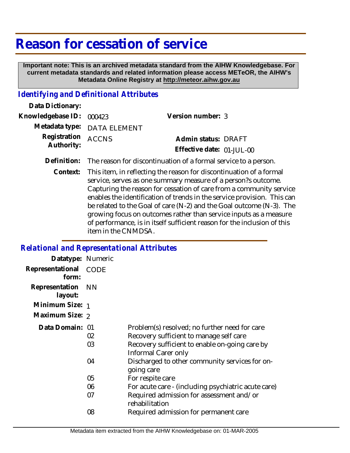## **Reason for cessation of service**

 **Important note: This is an archived metadata standard from the AIHW Knowledgebase. For current metadata standards and related information please access METeOR, the AIHW's Metadata Online Registry at http://meteor.aihw.gov.au**

## *Identifying and Definitional Attributes*

| Data Dictionary:                 |                             |                           |  |
|----------------------------------|-----------------------------|---------------------------|--|
| Knowledgebase ID: 000423         |                             | Version number: 3         |  |
|                                  | Metadata type: DATA ELEMENT |                           |  |
| Registration ACCNS<br>Authority: |                             | Admin status: DRAFT       |  |
|                                  |                             | Effective date: 01-JUL-00 |  |
|                                  |                             |                           |  |

**Definition:** The reason for discontinuation of a formal service to a person.

This item, in reflecting the reason for discontinuation of a formal service, serves as one summary measure of a person?s outcome. Capturing the reason for cessation of care from a community service enables the identification of trends in the service provision. This can be related to the Goal of care (N-2) and the Goal outcome (N-3). The growing focus on outcomes rather than service inputs as a measure of performance, is in itself sufficient reason for the inclusion of this item in the CNMDSA. **Context:**

## *Relational and Representational Attributes*

| Datatype: Numeric            |          |                                                                                                                                                                   |
|------------------------------|----------|-------------------------------------------------------------------------------------------------------------------------------------------------------------------|
| Representational<br>form:    | CODE     |                                                                                                                                                                   |
| Representation NN<br>layout: |          |                                                                                                                                                                   |
| Minimum Size: 1              |          |                                                                                                                                                                   |
| Maximum Size: 2              |          |                                                                                                                                                                   |
| Data Domain: 01              | 02<br>03 | Problem(s) resolved; no further need for care<br>Recovery sufficient to manage self care<br>Recovery sufficient to enable on-going care by<br>Informal Carer only |
|                              | 04       | Discharged to other community services for on-<br>going care                                                                                                      |
|                              | 05       | For respite care                                                                                                                                                  |
|                              | 06       | For acute care - (including psychiatric acute care)                                                                                                               |
|                              | 07       | Required admission for assessment and/or<br>rehabilitation                                                                                                        |
|                              | 08       | Required admission for permanent care                                                                                                                             |
|                              |          |                                                                                                                                                                   |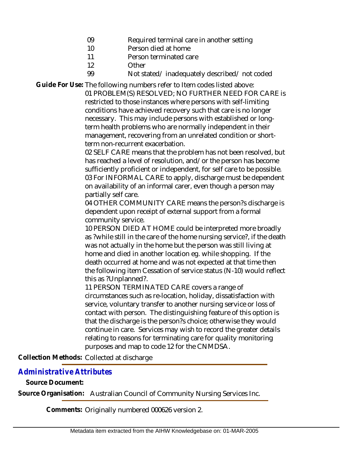- 09 Required terminal care in another setting
- 10 Person died at home
- 11 Person terminated care
- 12 Other

99

Not stated/ inadequately described/ not coded

Guide For Use: The following numbers refer to Item codes listed above:

01 PROBLEM(S) RESOLVED; NO FURTHER NEED FOR CARE is restricted to those instances where persons with self-limiting conditions have achieved recovery such that care is no longer necessary. This may include persons with established or longterm health problems who are normally independent in their management, recovering from an unrelated condition or shortterm non-recurrent exacerbation.

02 SELF CARE means that the problem has not been resolved, but has reached a level of resolution, and/or the person has become sufficiently proficient or independent, for self care to be possible. 03 For INFORMAL CARE to apply, discharge must be dependent on availability of an informal carer, even though a person may partially self care.

04 OTHER COMMUNITY CARE means the person?s discharge is dependent upon receipt of external support from a formal community service.

10 PERSON DIED AT HOME could be interpreted more broadly as ?while still in the care of the home nursing service?, if the death was not actually in the home but the person was still living at home and died in another location eg. while shopping. If the death occurred at home and was not expected at that time then the following item Cessation of service status (N-10) would reflect this as ?Unplanned?.

11 PERSON TERMINATED CARE covers a range of circumstances such as re-location, holiday, dissatisfaction with service, voluntary transfer to another nursing service or loss of contact with person. The distinguishing feature of this option is that the discharge is the person?s choice; otherwise they would continue in care. Services may wish to record the greater details relating to reasons for terminating care for quality monitoring purposes and map to code 12 for the CNMDSA.

**Collection Methods:** Collected at discharge

## *Administrative Attributes*

**Source Document:**

**Source Organisation:** Australian Council of Community Nursing Services Inc.

**Comments:** Originally numbered 000626 version 2.